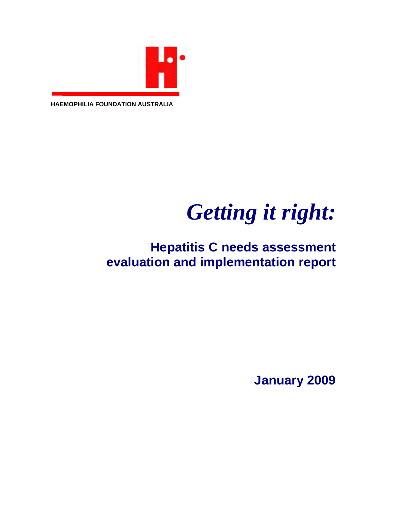

**HAEMOPHILIA FOUNDATION AUSTRALIA**

# *Getting it right:*

### **Hepatitis C needs assessment evaluation and implementation report**

**January 2009**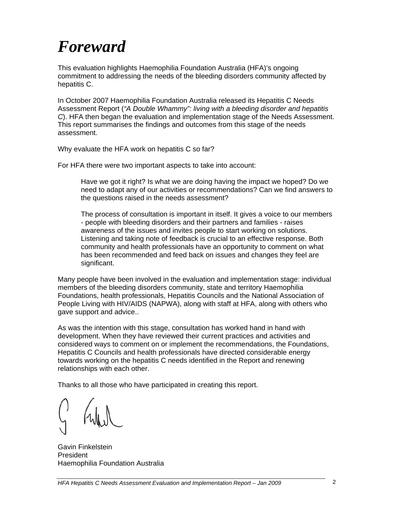## *Foreward*

This evaluation highlights Haemophilia Foundation Australia (HFA)'s ongoing commitment to addressing the needs of the bleeding disorders community affected by hepatitis C.

In October 2007 Haemophilia Foundation Australia released its Hepatitis C Needs Assessment Report (*"A Double Whammy": living with a bleeding disorder and hepatitis C*). HFA then began the evaluation and implementation stage of the Needs Assessment. This report summarises the findings and outcomes from this stage of the needs assessment.

Why evaluate the HFA work on hepatitis C so far?

For HFA there were two important aspects to take into account:

Have we got it right? Is what we are doing having the impact we hoped? Do we need to adapt any of our activities or recommendations? Can we find answers to the questions raised in the needs assessment?

The process of consultation is important in itself. It gives a voice to our members - people with bleeding disorders and their partners and families - raises awareness of the issues and invites people to start working on solutions. Listening and taking note of feedback is crucial to an effective response. Both community and health professionals have an opportunity to comment on what has been recommended and feed back on issues and changes they feel are significant.

Many people have been involved in the evaluation and implementation stage: individual members of the bleeding disorders community, state and territory Haemophilia Foundations, health professionals, Hepatitis Councils and the National Association of People Living with HIV/AIDS (NAPWA), along with staff at HFA, along with others who gave support and advice..

As was the intention with this stage, consultation has worked hand in hand with development. When they have reviewed their current practices and activities and considered ways to comment on or implement the recommendations, the Foundations, Hepatitis C Councils and health professionals have directed considerable energy towards working on the hepatitis C needs identified in the Report and renewing relationships with each other.

Thanks to all those who have participated in creating this report.

Gavin Finkelstein President Haemophilia Foundation Australia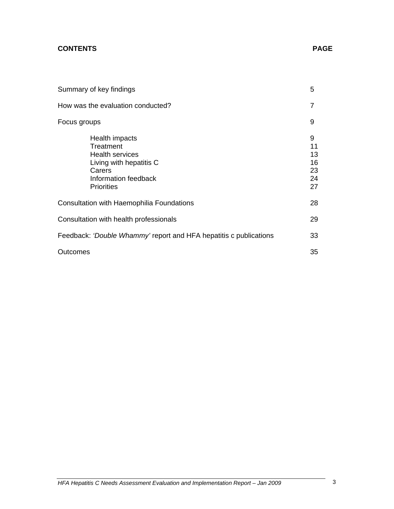#### **CONTENTS PAGE**

| Summary of key findings                                                                                                                 | 5                                     |
|-----------------------------------------------------------------------------------------------------------------------------------------|---------------------------------------|
| How was the evaluation conducted?                                                                                                       | 7                                     |
| Focus groups                                                                                                                            | 9                                     |
| Health impacts<br>Treatment<br><b>Health services</b><br>Living with hepatitis C<br>Carers<br>Information feedback<br><b>Priorities</b> | 9<br>11<br>13<br>16<br>23<br>24<br>27 |
| Consultation with Haemophilia Foundations                                                                                               | 28                                    |
| Consultation with health professionals                                                                                                  | 29                                    |
| Feedback: 'Double Whammy' report and HFA hepatitis c publications                                                                       | 33                                    |
| Outcomes                                                                                                                                | 35                                    |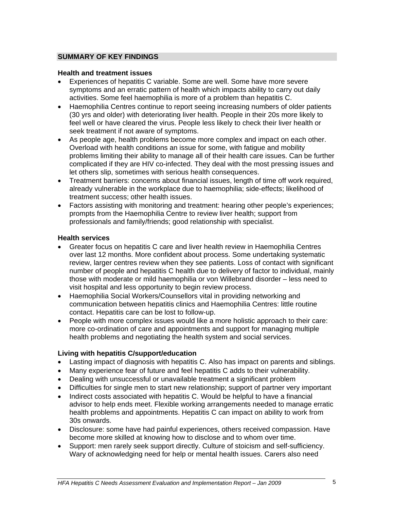#### **SUMMARY OF KEY FINDINGS**

#### **Health and treatment issues**

- Experiences of hepatitis C variable. Some are well. Some have more severe symptoms and an erratic pattern of health which impacts ability to carry out daily activities. Some feel haemophilia is more of a problem than hepatitis C.
- Haemophilia Centres continue to report seeing increasing numbers of older patients (30 yrs and older) with deteriorating liver health. People in their 20s more likely to feel well or have cleared the virus. People less likely to check their liver health or seek treatment if not aware of symptoms.
- As people age, health problems become more complex and impact on each other. Overload with health conditions an issue for some, with fatigue and mobility problems limiting their ability to manage all of their health care issues. Can be further complicated if they are HIV co-infected. They deal with the most pressing issues and let others slip, sometimes with serious health consequences.
- Treatment barriers: concerns about financial issues, length of time off work required, already vulnerable in the workplace due to haemophilia; side-effects; likelihood of treatment success; other health issues.
- Factors assisting with monitoring and treatment: hearing other people's experiences; prompts from the Haemophilia Centre to review liver health; support from professionals and family/friends; good relationship with specialist.

#### **Health services**

- Greater focus on hepatitis C care and liver health review in Haemophilia Centres over last 12 months. More confident about process. Some undertaking systematic review, larger centres review when they see patients. Loss of contact with significant number of people and hepatitis C health due to delivery of factor to individual, mainly those with moderate or mild haemophilia or von Willebrand disorder – less need to visit hospital and less opportunity to begin review process.
- Haemophilia Social Workers/Counsellors vital in providing networking and communication between hepatitis clinics and Haemophilia Centres: little routine contact. Hepatitis care can be lost to follow-up.
- People with more complex issues would like a more holistic approach to their care: more co-ordination of care and appointments and support for managing multiple health problems and negotiating the health system and social services.

#### **Living with hepatitis C/support/education**

- Lasting impact of diagnosis with hepatitis C. Also has impact on parents and siblings.
- Many experience fear of future and feel hepatitis C adds to their vulnerability.
- Dealing with unsuccessful or unavailable treatment a significant problem
- Difficulties for single men to start new relationship; support of partner very important
- Indirect costs associated with hepatitis C. Would be helpful to have a financial advisor to help ends meet. Flexible working arrangements needed to manage erratic health problems and appointments. Hepatitis C can impact on ability to work from 30s onwards.
- Disclosure: some have had painful experiences, others received compassion. Have become more skilled at knowing how to disclose and to whom over time.
- Support: men rarely seek support directly. Culture of stoicism and self-sufficiency. Wary of acknowledging need for help or mental health issues. Carers also need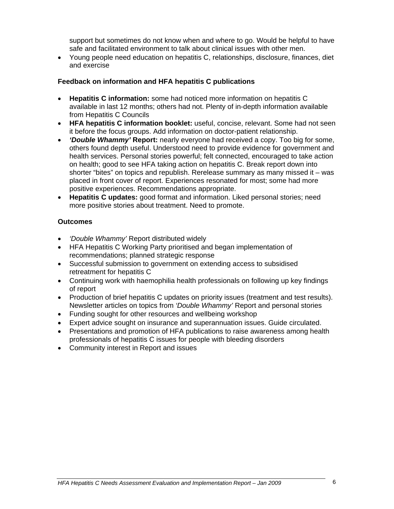support but sometimes do not know when and where to go. Would be helpful to have safe and facilitated environment to talk about clinical issues with other men.

• Young people need education on hepatitis C, relationships, disclosure, finances, diet and exercise

#### **Feedback on information and HFA hepatitis C publications**

- **Hepatitis C information:** some had noticed more information on hepatitis C available in last 12 months; others had not. Plenty of in-depth information available from Hepatitis C Councils
- **HFA hepatitis C information booklet:** useful, concise, relevant. Some had not seen it before the focus groups. Add information on doctor-patient relationship.
- *'Double Whammy'* **Report:** nearly everyone had received a copy. Too big for some, others found depth useful. Understood need to provide evidence for government and health services. Personal stories powerful; felt connected, encouraged to take action on health; good to see HFA taking action on hepatitis C. Break report down into shorter "bites" on topics and republish. Rerelease summary as many missed it – was placed in front cover of report. Experiences resonated for most; some had more positive experiences. Recommendations appropriate.
- **Hepatitis C updates:** good format and information. Liked personal stories; need more positive stories about treatment. Need to promote.

#### **Outcomes**

- *'Double Whammy'* Report distributed widely
- HFA Hepatitis C Working Party prioritised and began implementation of recommendations; planned strategic response
- Successful submission to government on extending access to subsidised retreatment for hepatitis C
- Continuing work with haemophilia health professionals on following up key findings of report
- Production of brief hepatitis C updates on priority issues (treatment and test results). Newsletter articles on topics from *'Double Whammy'* Report and personal stories
- Funding sought for other resources and wellbeing workshop
- Expert advice sought on insurance and superannuation issues. Guide circulated.
- Presentations and promotion of HFA publications to raise awareness among health professionals of hepatitis C issues for people with bleeding disorders
- Community interest in Report and issues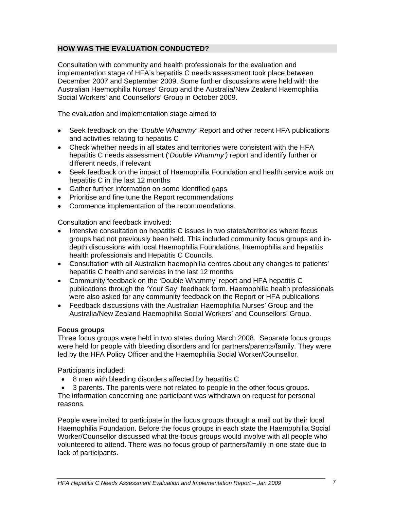#### **HOW WAS THE EVALUATION CONDUCTED?**

Consultation with community and health professionals for the evaluation and implementation stage of HFA's hepatitis C needs assessment took place between December 2007 and September 2009. Some further discussions were held with the Australian Haemophilia Nurses' Group and the Australia/New Zealand Haemophilia Social Workers' and Counsellors' Group in October 2009.

The evaluation and implementation stage aimed to

- Seek feedback on the *'Double Whammy'* Report and other recent HFA publications and activities relating to hepatitis C
- Check whether needs in all states and territories were consistent with the HFA hepatitis C needs assessment ('*Double Whammy')* report and identify further or different needs, if relevant
- Seek feedback on the impact of Haemophilia Foundation and health service work on hepatitis C in the last 12 months
- Gather further information on some identified gaps
- Prioritise and fine tune the Report recommendations
- Commence implementation of the recommendations.

Consultation and feedback involved:

- Intensive consultation on hepatitis C issues in two states/territories where focus groups had not previously been held. This included community focus groups and indepth discussions with local Haemophilia Foundations, haemophilia and hepatitis health professionals and Hepatitis C Councils.
- Consultation with all Australian haemophilia centres about any changes to patients' hepatitis C health and services in the last 12 months
- Community feedback on the 'Double Whammy' report and HFA hepatitis C publications through the 'Your Say' feedback form. Haemophilia health professionals were also asked for any community feedback on the Report or HFA publications
- Feedback discussions with the Australian Haemophilia Nurses' Group and the Australia/New Zealand Haemophilia Social Workers' and Counsellors' Group.

#### **Focus groups**

Three focus groups were held in two states during March 2008. Separate focus groups were held for people with bleeding disorders and for partners/parents/family. They were led by the HFA Policy Officer and the Haemophilia Social Worker/Counsellor.

Participants included:

- 8 men with bleeding disorders affected by hepatitis C
- 3 parents. The parents were not related to people in the other focus groups.

The information concerning one participant was withdrawn on request for personal reasons.

People were invited to participate in the focus groups through a mail out by their local Haemophilia Foundation. Before the focus groups in each state the Haemophilia Social Worker/Counsellor discussed what the focus groups would involve with all people who volunteered to attend. There was no focus group of partners/family in one state due to lack of participants.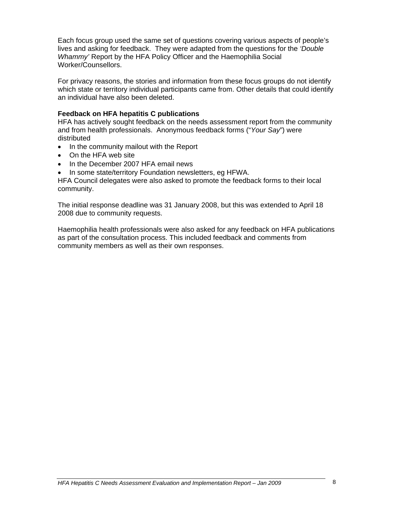Each focus group used the same set of questions covering various aspects of people's lives and asking for feedback. They were adapted from the questions for the *'Double Whammy'* Report by the HFA Policy Officer and the Haemophilia Social Worker/Counsellors.

For privacy reasons, the stories and information from these focus groups do not identify which state or territory individual participants came from. Other details that could identify an individual have also been deleted.

#### **Feedback on HFA hepatitis C publications**

HFA has actively sought feedback on the needs assessment report from the community and from health professionals. Anonymous feedback forms ("*Your Say*") were distributed

- In the community mailout with the Report
- On the HFA web site
- In the December 2007 HFA email news
- In some state/territory Foundation newsletters, eg HFWA.

HFA Council delegates were also asked to promote the feedback forms to their local community.

The initial response deadline was 31 January 2008, but this was extended to April 18 2008 due to community requests.

Haemophilia health professionals were also asked for any feedback on HFA publications as part of the consultation process. This included feedback and comments from community members as well as their own responses.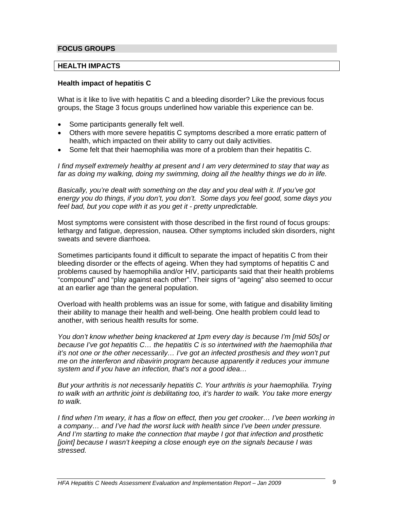#### **FOCUS GROUPS**

#### **HEALTH IMPACTS**

#### **Health impact of hepatitis C**

What is it like to live with hepatitis C and a bleeding disorder? Like the previous focus groups, the Stage 3 focus groups underlined how variable this experience can be.

- Some participants generally felt well.
- Others with more severe hepatitis C symptoms described a more erratic pattern of health, which impacted on their ability to carry out daily activities.
- Some felt that their haemophilia was more of a problem than their hepatitis C.

*I find myself extremely healthy at present and I am very determined to stay that way as far as doing my walking, doing my swimming, doing all the healthy things we do in life.*

*Basically, you're dealt with something on the day and you deal with it. If you've got energy you do things, if you don't, you don't. Some days you feel good, some days you feel bad, but you cope with it as you get it - pretty unpredictable.* 

Most symptoms were consistent with those described in the first round of focus groups: lethargy and fatigue, depression, nausea. Other symptoms included skin disorders, night sweats and severe diarrhoea.

Sometimes participants found it difficult to separate the impact of hepatitis C from their bleeding disorder or the effects of ageing. When they had symptoms of hepatitis C and problems caused by haemophilia and/or HIV, participants said that their health problems "compound" and "play against each other". Their signs of "ageing" also seemed to occur at an earlier age than the general population.

Overload with health problems was an issue for some, with fatigue and disability limiting their ability to manage their health and well-being. One health problem could lead to another, with serious health results for some.

*You don't know whether being knackered at 1pm every day is because I'm [mid 50s] or because I've got hepatitis C… the hepatitis C is so intertwined with the haemophilia that it's not one or the other necessarily… I've got an infected prosthesis and they won't put me on the interferon and ribavirin program because apparently it reduces your immune system and if you have an infection, that's not a good idea…* 

*But your arthritis is not necessarily hepatitis C. Your arthritis is your haemophilia. Trying to walk with an arthritic joint is debilitating too, it's harder to walk. You take more energy to walk.* 

*I find when I'm weary, it has a flow on effect, then you get crooker… I've been working in a company… and I've had the worst luck with health since I've been under pressure. And I'm starting to make the connection that maybe I got that infection and prosthetic [joint] because I wasn't keeping a close enough eye on the signals because I was stressed.*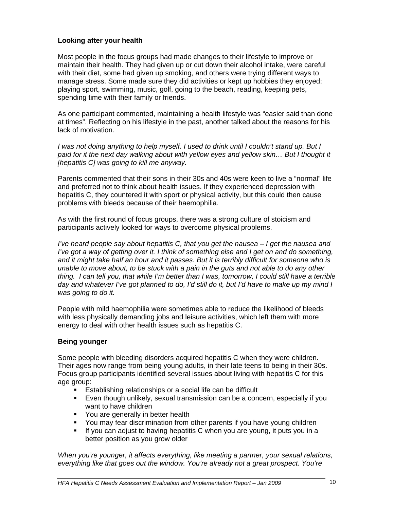#### **Looking after your health**

Most people in the focus groups had made changes to their lifestyle to improve or maintain their health. They had given up or cut down their alcohol intake, were careful with their diet, some had given up smoking, and others were trying different ways to manage stress. Some made sure they did activities or kept up hobbies they enjoyed: playing sport, swimming, music, golf, going to the beach, reading, keeping pets, spending time with their family or friends.

As one participant commented, maintaining a health lifestyle was "easier said than done at times". Reflecting on his lifestyle in the past, another talked about the reasons for his lack of motivation.

*I was not doing anything to help myself. I used to drink until I couldn't stand up. But I*  paid for it the next day walking about with yellow eyes and yellow skin... But I thought it *[hepatitis C] was going to kill me anyway.* 

Parents commented that their sons in their 30s and 40s were keen to live a "normal" life and preferred not to think about health issues. If they experienced depression with hepatitis C, they countered it with sport or physical activity, but this could then cause problems with bleeds because of their haemophilia.

As with the first round of focus groups, there was a strong culture of stoicism and participants actively looked for ways to overcome physical problems.

*I've heard people say about hepatitis C, that you get the nausea – I get the nausea and I've got a way of getting over it. I think of something else and I get on and do something, and it might take half an hour and it passes. But it is terribly difficult for someone who is unable to move about, to be stuck with a pain in the guts and not able to do any other thing. I can tell you, that while I'm better than I was, tomorrow, I could still have a terrible day and whatever I've got planned to do, I'd still do it, but I'd have to make up my mind I was going to do it.* 

People with mild haemophilia were sometimes able to reduce the likelihood of bleeds with less physically demanding jobs and leisure activities, which left them with more energy to deal with other health issues such as hepatitis C.

#### **Being younger**

Some people with bleeding disorders acquired hepatitis C when they were children. Their ages now range from being young adults, in their late teens to being in their 30s. Focus group participants identified several issues about living with hepatitis C for this age group:

- **Establishing relationships or a social life can be difficult**
- Even though unlikely, sexual transmission can be a concern, especially if you want to have children
- You are generally in better health
- You may fear discrimination from other parents if you have young children
- If you can adjust to having hepatitis C when you are young, it puts you in a better position as you grow older

*When you're younger, it affects everything, like meeting a partner, your sexual relations, everything like that goes out the window. You're already not a great prospect. You're*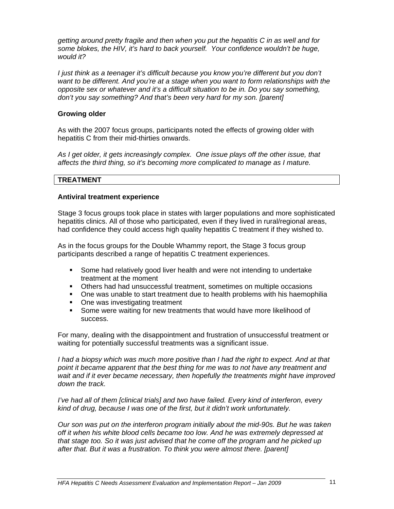*getting around pretty fragile and then when you put the hepatitis C in as well and for some blokes, the HIV, it's hard to back yourself. Your confidence wouldn't be huge, would it?* 

*I just think as a teenager it's difficult because you know you're different but you don't want to be different. And you're at a stage when you want to form relationships with the opposite sex or whatever and it's a difficult situation to be in. Do you say something, don't you say something? And that's been very hard for my son. [parent]*

#### **Growing older**

As with the 2007 focus groups, participants noted the effects of growing older with hepatitis C from their mid-thirties onwards.

*As I get older, it gets increasingly complex. One issue plays off the other issue, that affects the third thing, so it's becoming more complicated to manage as I mature.* 

#### **TREATMENT**

#### **Antiviral treatment experience**

Stage 3 focus groups took place in states with larger populations and more sophisticated hepatitis clinics. All of those who participated, even if they lived in rural/regional areas, had confidence they could access high quality hepatitis C treatment if they wished to.

As in the focus groups for the Double Whammy report, the Stage 3 focus group participants described a range of hepatitis C treatment experiences.

- Some had relatively good liver health and were not intending to undertake treatment at the moment
- Others had had unsuccessful treatment, sometimes on multiple occasions
- One was unable to start treatment due to health problems with his haemophilia
- One was investigating treatment
- **Some were waiting for new treatments that would have more likelihood of** success.

For many, dealing with the disappointment and frustration of unsuccessful treatment or waiting for potentially successful treatments was a significant issue.

*I* had a biopsy which was much more positive than *I* had the right to expect. And at that *point it became apparent that the best thing for me was to not have any treatment and wait and if it ever became necessary, then hopefully the treatments might have improved down the track.* 

*I've had all of them [clinical trials] and two have failed. Every kind of interferon, every kind of drug, because I was one of the first, but it didn't work unfortunately.* 

*Our son was put on the interferon program initially about the mid-90s. But he was taken off it when his white blood cells became too low. And he was extremely depressed at that stage too. So it was just advised that he come off the program and he picked up after that. But it was a frustration. To think you were almost there. [parent]*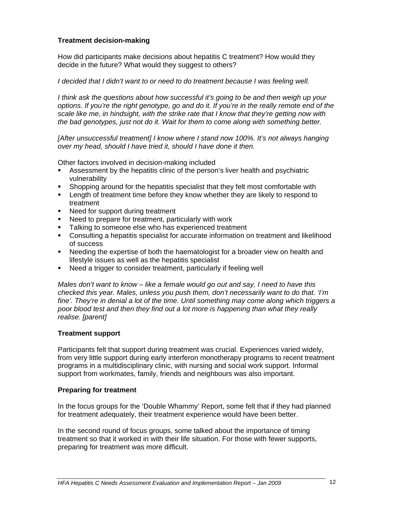#### **Treatment decision-making**

How did participants make decisions about hepatitis C treatment? How would they decide in the future? What would they suggest to others?

#### *I* decided that *I* didn't want to or need to do treatment because *I* was feeling well.

*I think ask the questions about how successful it's going to be and then weigh up your options. If you're the right genotype, go and do it. If you're in the really remote end of the scale like me, in hindsight, with the strike rate that I know that they're getting now with the bad genotypes, just not do it. Wait for them to come along with something better.*

*[After unsuccessful treatment] I know where I stand now 100%. It's not always hanging over my head, should I have tried it, should I have done it then.* 

Other factors involved in decision-making included

- Assessment by the hepatitis clinic of the person's liver health and psychiatric vulnerability
- Shopping around for the hepatitis specialist that they felt most comfortable with
- **EXECT** Length of treatment time before they know whether they are likely to respond to treatment
- Need for support during treatment
- Need to prepare for treatment, particularly with work
- **Talking to someone else who has experienced treatment**
- Consulting a hepatitis specialist for accurate information on treatment and likelihood of success
- Needing the expertise of both the haematologist for a broader view on health and lifestyle issues as well as the hepatitis specialist
- Need a trigger to consider treatment, particularly if feeling well

*Males don't want to know – like a female would go out and say, I need to have this checked this year. Males, unless you push them, don't necessarily want to do that. 'I'm fine'. They're in denial a lot of the time. Until something may come along which triggers a poor blood test and then they find out a lot more is happening than what they really realise. [parent]* 

#### **Treatment support**

Participants felt that support during treatment was crucial. Experiences varied widely, from very little support during early interferon monotherapy programs to recent treatment programs in a multidisciplinary clinic, with nursing and social work support. Informal support from workmates, family, friends and neighbours was also important.

#### **Preparing for treatment**

In the focus groups for the 'Double Whammy' Report, some felt that if they had planned for treatment adequately, their treatment experience would have been better.

In the second round of focus groups, some talked about the importance of timing treatment so that it worked in with their life situation. For those with fewer supports, preparing for treatment was more difficult.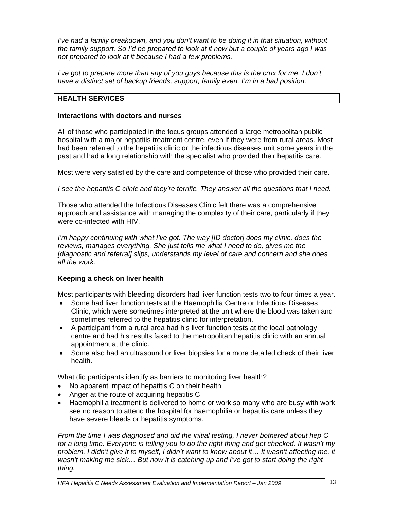*I've had a family breakdown, and you don't want to be doing it in that situation, without the family support. So I'd be prepared to look at it now but a couple of years ago I was not prepared to look at it because I had a few problems.* 

*I've got to prepare more than any of you guys because this is the crux for me, I don't have a distinct set of backup friends, support, family even. I'm in a bad position.* 

#### **HEALTH SERVICES**

#### **Interactions with doctors and nurses**

All of those who participated in the focus groups attended a large metropolitan public hospital with a major hepatitis treatment centre, even if they were from rural areas. Most had been referred to the hepatitis clinic or the infectious diseases unit some years in the past and had a long relationship with the specialist who provided their hepatitis care.

Most were very satisfied by the care and competence of those who provided their care.

*I see the hepatitis C clinic and they're terrific. They answer all the questions that I need.* 

Those who attended the Infectious Diseases Clinic felt there was a comprehensive approach and assistance with managing the complexity of their care, particularly if they were co-infected with HIV.

*I'm happy continuing with what I've got. The way [ID doctor] does my clinic, does the reviews, manages everything. She just tells me what I need to do, gives me the [diagnostic and referral] slips, understands my level of care and concern and she does all the work.*

#### **Keeping a check on liver health**

Most participants with bleeding disorders had liver function tests two to four times a year.

- Some had liver function tests at the Haemophilia Centre or Infectious Diseases Clinic, which were sometimes interpreted at the unit where the blood was taken and sometimes referred to the hepatitis clinic for interpretation.
- A participant from a rural area had his liver function tests at the local pathology centre and had his results faxed to the metropolitan hepatitis clinic with an annual appointment at the clinic.
- Some also had an ultrasound or liver biopsies for a more detailed check of their liver health.

What did participants identify as barriers to monitoring liver health?

- No apparent impact of hepatitis C on their health
- Anger at the route of acquiring hepatitis C
- Haemophilia treatment is delivered to home or work so many who are busy with work see no reason to attend the hospital for haemophilia or hepatitis care unless they have severe bleeds or hepatitis symptoms.

*From the time I was diagnosed and did the initial testing, I never bothered about hep C for a long time. Everyone is telling you to do the right thing and get checked. It wasn't my problem. I didn't give it to myself, I didn't want to know about it… It wasn't affecting me, it wasn't making me sick… But now it is catching up and I've got to start doing the right thing.*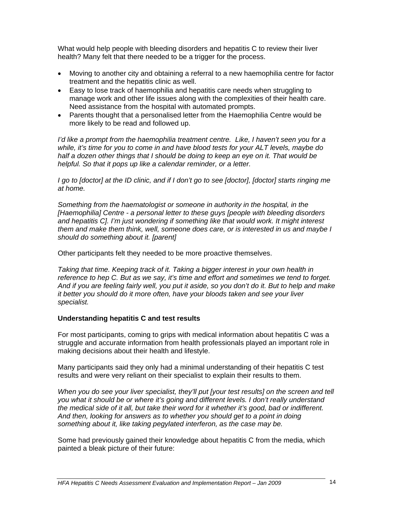What would help people with bleeding disorders and hepatitis C to review their liver health? Many felt that there needed to be a trigger for the process.

- Moving to another city and obtaining a referral to a new haemophilia centre for factor treatment and the hepatitis clinic as well.
- Easy to lose track of haemophilia and hepatitis care needs when struggling to manage work and other life issues along with the complexities of their health care. Need assistance from the hospital with automated prompts.
- Parents thought that a personalised letter from the Haemophilia Centre would be more likely to be read and followed up.

*I'd like a prompt from the haemophilia treatment centre. Like, I haven't seen you for a while, it's time for you to come in and have blood tests for your ALT levels, maybe do half a dozen other things that I should be doing to keep an eye on it. That would be helpful. So that it pops up like a calendar reminder, or a letter.* 

*I go to [doctor] at the ID clinic, and if I don't go to see [doctor], [doctor] starts ringing me at home.* 

*Something from the haematologist or someone in authority in the hospital, in the [Haemophilia] Centre - a personal letter to these guys [people with bleeding disorders and hepatitis C]. I'm just wondering if something like that would work. It might interest them and make them think, well, someone does care, or is interested in us and maybe I should do something about it. [parent]* 

Other participants felt they needed to be more proactive themselves.

*Taking that time. Keeping track of it. Taking a bigger interest in your own health in reference to hep C. But as we say, it's time and effort and sometimes we tend to forget. And if you are feeling fairly well, you put it aside, so you don't do it. But to help and make it better you should do it more often, have your bloods taken and see your liver specialist.* 

#### **Understanding hepatitis C and test results**

For most participants, coming to grips with medical information about hepatitis C was a struggle and accurate information from health professionals played an important role in making decisions about their health and lifestyle.

Many participants said they only had a minimal understanding of their hepatitis C test results and were very reliant on their specialist to explain their results to them.

*When you do see your liver specialist, they'll put [your test results] on the screen and tell you what it should be or where it's going and different levels. I don't really understand the medical side of it all, but take their word for it whether it's good, bad or indifferent. And then, looking for answers as to whether you should get to a point in doing something about it, like taking pegylated interferon, as the case may be.*

Some had previously gained their knowledge about hepatitis C from the media, which painted a bleak picture of their future: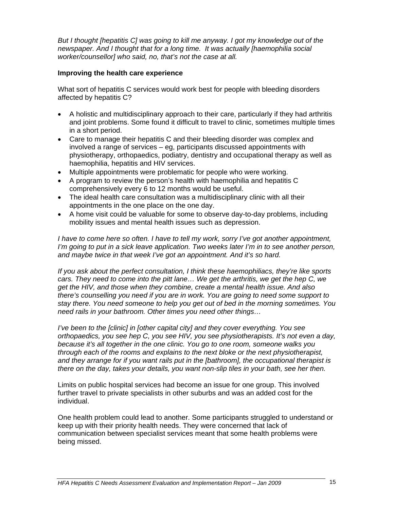*But I thought [hepatitis C] was going to kill me anyway. I got my knowledge out of the newspaper. And I thought that for a long time. It was actually [haemophilia social worker/counsellor] who said, no, that's not the case at all.* 

#### **Improving the health care experience**

What sort of hepatitis C services would work best for people with bleeding disorders affected by hepatitis C?

- A holistic and multidisciplinary approach to their care, particularly if they had arthritis and joint problems. Some found it difficult to travel to clinic, sometimes multiple times in a short period.
- Care to manage their hepatitis C and their bleeding disorder was complex and involved a range of services – eg, participants discussed appointments with physiotherapy, orthopaedics, podiatry, dentistry and occupational therapy as well as haemophilia, hepatitis and HIV services.
- Multiple appointments were problematic for people who were working.
- A program to review the person's health with haemophilia and hepatitis C comprehensively every 6 to 12 months would be useful.
- The ideal health care consultation was a multidisciplinary clinic with all their appointments in the one place on the one day.
- A home visit could be valuable for some to observe day-to-day problems, including mobility issues and mental health issues such as depression.

*I have to come here so often. I have to tell my work, sorry I've got another appointment, I'm going to put in a sick leave application. Two weeks later I'm in to see another person, and maybe twice in that week I've got an appointment. And it's so hard.* 

*If you ask about the perfect consultation, I think these haemophiliacs, they're like sports cars. They need to come into the pitt lane… We get the arthritis, we get the hep C, we get the HIV, and those when they combine, create a mental health issue. And also there's counselling you need if you are in work. You are going to need some support to stay there. You need someone to help you get out of bed in the morning sometimes. You need rails in your bathroom. Other times you need other things…* 

*I've been to the [clinic] in [other capital city] and they cover everything. You see orthopaedics, you see hep C, you see HIV, you see physiotherapists. It's not even a day, because it's all together in the one clinic. You go to one room, someone walks you through each of the rooms and explains to the next bloke or the next physiotherapist, and they arrange for if you want rails put in the [bathroom], the occupational therapist is there on the day, takes your details, you want non-slip tiles in your bath, see her then.* 

Limits on public hospital services had become an issue for one group. This involved further travel to private specialists in other suburbs and was an added cost for the individual.

One health problem could lead to another. Some participants struggled to understand or keep up with their priority health needs. They were concerned that lack of communication between specialist services meant that some health problems were being missed.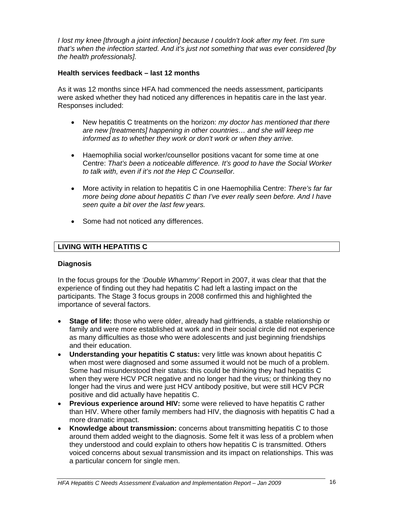*I lost my knee [through a joint infection] because I couldn't look after my feet. I'm sure that's when the infection started. And it's just not something that was ever considered [by the health professionals].*

#### **Health services feedback – last 12 months**

As it was 12 months since HFA had commenced the needs assessment, participants were asked whether they had noticed any differences in hepatitis care in the last year. Responses included:

- New hepatitis C treatments on the horizon: *my doctor has mentioned that there are new [treatments] happening in other countries… and she will keep me informed as to whether they work or don't work or when they arrive.*
- Haemophilia social worker/counsellor positions vacant for some time at one Centre: *That's been a noticeable difference. It's good to have the Social Worker to talk with, even if it's not the Hep C Counsellor.*
- More activity in relation to hepatitis C in one Haemophilia Centre: *There's far far more being done about hepatitis C than I've ever really seen before. And I have seen quite a bit over the last few years.*
- Some had not noticed any differences.

#### **LIVING WITH HEPATITIS C**

#### **Diagnosis**

In the focus groups for the *'Double Whammy'* Report in 2007, it was clear that that the experience of finding out they had hepatitis C had left a lasting impact on the participants. The Stage 3 focus groups in 2008 confirmed this and highlighted the importance of several factors.

- **Stage of life:** those who were older, already had girlfriends, a stable relationship or family and were more established at work and in their social circle did not experience as many difficulties as those who were adolescents and just beginning friendships and their education.
- **Understanding your hepatitis C status:** very little was known about hepatitis C when most were diagnosed and some assumed it would not be much of a problem. Some had misunderstood their status: this could be thinking they had hepatitis C when they were HCV PCR negative and no longer had the virus; or thinking they no longer had the virus and were just HCV antibody positive, but were still HCV PCR positive and did actually have hepatitis C.
- **Previous experience around HIV:** some were relieved to have hepatitis C rather than HIV. Where other family members had HIV, the diagnosis with hepatitis C had a more dramatic impact.
- **Knowledge about transmission:** concerns about transmitting hepatitis C to those around them added weight to the diagnosis. Some felt it was less of a problem when they understood and could explain to others how hepatitis C is transmitted. Others voiced concerns about sexual transmission and its impact on relationships. This was a particular concern for single men.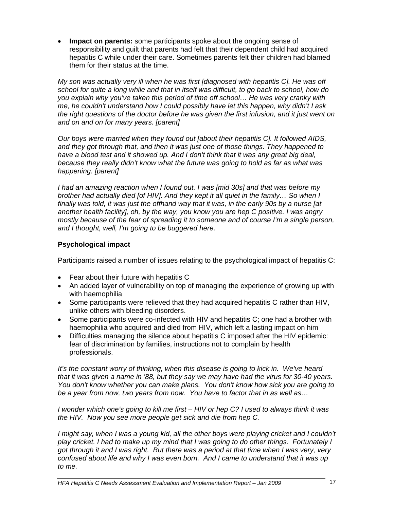• **Impact on parents:** some participants spoke about the ongoing sense of responsibility and guilt that parents had felt that their dependent child had acquired hepatitis C while under their care. Sometimes parents felt their children had blamed them for their status at the time.

*My son was actually very ill when he was first [diagnosed with hepatitis C]. He was off school for quite a long while and that in itself was difficult, to go back to school, how do you explain why you've taken this period of time off school… He was very cranky with me, he couldn't understand how I could possibly have let this happen, why didn't I ask the right questions of the doctor before he was given the first infusion, and it just went on and on and on for many years. [parent]* 

*Our boys were married when they found out [about their hepatitis C]. It followed AIDS, and they got through that, and then it was just one of those things. They happened to*  have a blood test and it showed up. And I don't think that it was any great big deal, *because they really didn't know what the future was going to hold as far as what was happening. [parent]* 

*I had an amazing reaction when I found out. I was [mid 30s] and that was before my brother had actually died [of HIV]. And they kept it all quiet in the family… So when I finally was told, it was just the offhand way that it was, in the early 90s by a nurse [at another health facility], oh, by the way, you know you are hep C positive. I was angry mostly because of the fear of spreading it to someone and of course I'm a single person, and I thought, well, I'm going to be buggered here.* 

#### **Psychological impact**

Participants raised a number of issues relating to the psychological impact of hepatitis C:

- Fear about their future with hepatitis C
- An added layer of vulnerability on top of managing the experience of growing up with with haemophilia
- Some participants were relieved that they had acquired hepatitis C rather than HIV, unlike others with bleeding disorders.
- Some participants were co-infected with HIV and hepatitis C; one had a brother with haemophilia who acquired and died from HIV, which left a lasting impact on him
- Difficulties managing the silence about hepatitis C imposed after the HIV epidemic: fear of discrimination by families, instructions not to complain by health professionals.

*It's the constant worry of thinking, when this disease is going to kick in. We've heard that it was given a name in '88, but they say we may have had the virus for 30-40 years. You don't know whether you can make plans. You don't know how sick you are going to be a year from now, two years from now. You have to factor that in as well as…* 

*I wonder which one's going to kill me first – HIV or hep C? I used to always think it was the HIV. Now you see more people get sick and die from hep C.* 

*I might say, when I was a young kid, all the other boys were playing cricket and I couldn't play cricket. I had to make up my mind that I was going to do other things. Fortunately I got through it and I was right. But there was a period at that time when I was very, very confused about life and why I was even born. And I came to understand that it was up to me.*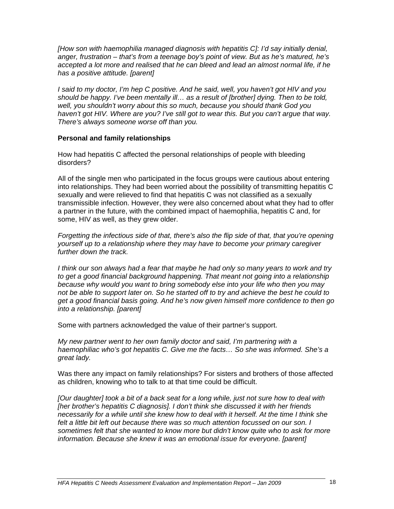*[How son with haemophilia managed diagnosis with hepatitis C]: I'd say initially denial, anger, frustration – that's from a teenage boy's point of view. But as he's matured, he's accepted a lot more and realised that he can bleed and lead an almost normal life, if he has a positive attitude. [parent]* 

*I said to my doctor, I'm hep C positive. And he said, well, you haven't got HIV and you should be happy. I've been mentally ill… as a result of [brother] dying. Then to be told, well, you shouldn't worry about this so much, because you should thank God you haven't got HIV. Where are you? I've still got to wear this. But you can't argue that way. There's always someone worse off than you.* 

#### **Personal and family relationships**

How had hepatitis C affected the personal relationships of people with bleeding disorders?

All of the single men who participated in the focus groups were cautious about entering into relationships. They had been worried about the possibility of transmitting hepatitis C sexually and were relieved to find that hepatitis C was not classified as a sexually transmissible infection. However, they were also concerned about what they had to offer a partner in the future, with the combined impact of haemophilia, hepatitis C and, for some, HIV as well, as they grew older.

*Forgetting the infectious side of that, there's also the flip side of that, that you're opening yourself up to a relationship where they may have to become your primary caregiver further down the track.* 

*I think our son always had a fear that maybe he had only so many years to work and try to get a good financial background happening. That meant not going into a relationship because why would you want to bring somebody else into your life who then you may not be able to support later on. So he started off to try and achieve the best he could to get a good financial basis going. And he's now given himself more confidence to then go into a relationship. [parent]* 

Some with partners acknowledged the value of their partner's support.

*My new partner went to her own family doctor and said, I'm partnering with a haemophiliac who's got hepatitis C. Give me the facts… So she was informed. She's a great lady.* 

Was there any impact on family relationships? For sisters and brothers of those affected as children, knowing who to talk to at that time could be difficult.

*[Our daughter] took a bit of a back seat for a long while, just not sure how to deal with [her brother's hepatitis C diagnosis]. I don't think she discussed it with her friends necessarily for a while until she knew how to deal with it herself. At the time I think she*  felt a little bit left out because there was so much attention focussed on our son. I *sometimes felt that she wanted to know more but didn't know quite who to ask for more information. Because she knew it was an emotional issue for everyone. [parent]*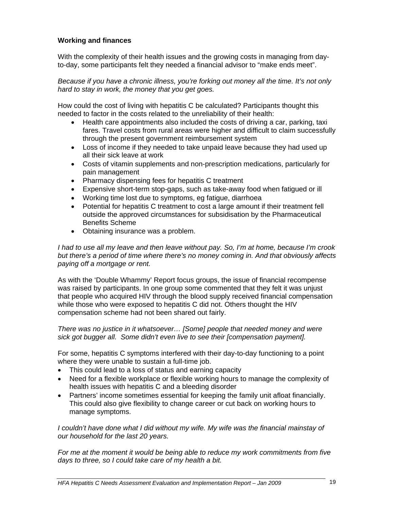#### **Working and finances**

With the complexity of their health issues and the growing costs in managing from dayto-day, some participants felt they needed a financial advisor to "make ends meet".

*Because if you have a chronic illness, you're forking out money all the time. It's not only hard to stay in work, the money that you get goes.* 

How could the cost of living with hepatitis C be calculated? Participants thought this needed to factor in the costs related to the unreliability of their health:

- Health care appointments also included the costs of driving a car, parking, taxi fares. Travel costs from rural areas were higher and difficult to claim successfully through the present government reimbursement system
- Loss of income if they needed to take unpaid leave because they had used up all their sick leave at work
- Costs of vitamin supplements and non-prescription medications, particularly for pain management
- Pharmacy dispensing fees for hepatitis C treatment
- Expensive short-term stop-gaps, such as take-away food when fatigued or ill
- Working time lost due to symptoms, eg fatigue, diarrhoea
- Potential for hepatitis C treatment to cost a large amount if their treatment fell outside the approved circumstances for subsidisation by the Pharmaceutical Benefits Scheme
- Obtaining insurance was a problem.

*I had to use all my leave and then leave without pay. So, I'm at home, because I'm crook but there's a period of time where there's no money coming in. And that obviously affects paying off a mortgage or rent.* 

As with the 'Double Whammy' Report focus groups, the issue of financial recompense was raised by participants. In one group some commented that they felt it was unjust that people who acquired HIV through the blood supply received financial compensation while those who were exposed to hepatitis C did not. Others thought the HIV compensation scheme had not been shared out fairly.

*There was no justice in it whatsoever… [Some] people that needed money and were sick got bugger all. Some didn't even live to see their [compensation payment].* 

For some, hepatitis C symptoms interfered with their day-to-day functioning to a point where they were unable to sustain a full-time job.

- This could lead to a loss of status and earning capacity
- Need for a flexible workplace or flexible working hours to manage the complexity of health issues with hepatitis C and a bleeding disorder
- Partners' income sometimes essential for keeping the family unit afloat financially. This could also give flexibility to change career or cut back on working hours to manage symptoms.

*I couldn't have done what I did without my wife. My wife was the financial mainstay of our household for the last 20 years.* 

*For me at the moment it would be being able to reduce my work commitments from five days to three, so I could take care of my health a bit.*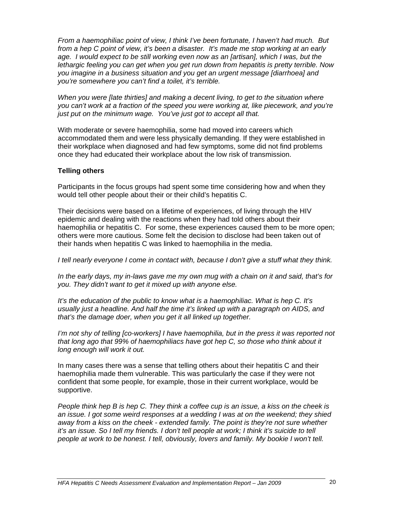*From a haemophiliac point of view, I think I've been fortunate, I haven't had much. But from a hep C point of view, it's been a disaster. It's made me stop working at an early age. I would expect to be still working even now as an [artisan], which I was, but the lethargic feeling you can get when you get run down from hepatitis is pretty terrible. Now you imagine in a business situation and you get an urgent message [diarrhoea] and you're somewhere you can't find a toilet, it's terrible.* 

*When you were [late thirties] and making a decent living, to get to the situation where you can't work at a fraction of the speed you were working at, like piecework, and you're just put on the minimum wage. You've just got to accept all that.* 

With moderate or severe haemophilia, some had moved into careers which accommodated them and were less physically demanding. If they were established in their workplace when diagnosed and had few symptoms, some did not find problems once they had educated their workplace about the low risk of transmission.

#### **Telling others**

Participants in the focus groups had spent some time considering how and when they would tell other people about their or their child's hepatitis C.

Their decisions were based on a lifetime of experiences, of living through the HIV epidemic and dealing with the reactions when they had told others about their haemophilia or hepatitis C. For some, these experiences caused them to be more open; others were more cautious. Some felt the decision to disclose had been taken out of their hands when hepatitis C was linked to haemophilia in the media.

*I tell nearly everyone I come in contact with, because I don't give a stuff what they think.* 

*In the early days, my in-laws gave me my own mug with a chain on it and said, that's for you. They didn't want to get it mixed up with anyone else.* 

*It's the education of the public to know what is a haemophiliac. What is hep C. It's usually just a headline. And half the time it's linked up with a paragraph on AIDS, and that's the damage doer, when you get it all linked up together.* 

*I'm not shy of telling [co-workers] I have haemophilia, but in the press it was reported not that long ago that 99% of haemophiliacs have got hep C, so those who think about it long enough will work it out.* 

In many cases there was a sense that telling others about their hepatitis C and their haemophilia made them vulnerable. This was particularly the case if they were not confident that some people, for example, those in their current workplace, would be supportive.

*People think hep B is hep C. They think a coffee cup is an issue, a kiss on the cheek is an issue. I got some weird responses at a wedding I was at on the weekend; they shied away from a kiss on the cheek - extended family. The point is they're not sure whether it's an issue. So I tell my friends. I don't tell people at work; I think it's suicide to tell people at work to be honest. I tell, obviously, lovers and family. My bookie I won't tell.*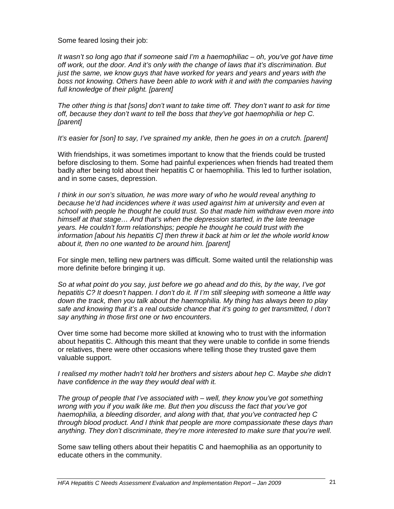Some feared losing their job:

*It wasn't so long ago that if someone said I'm a haemophiliac – oh, you've got have time off work, out the door. And it's only with the change of laws that it's discrimination. But just the same, we know guys that have worked for years and years and years with the boss not knowing. Others have been able to work with it and with the companies having full knowledge of their plight. [parent]*

*The other thing is that [sons] don't want to take time off. They don't want to ask for time off, because they don't want to tell the boss that they've got haemophilia or hep C. [parent]* 

*It's easier for [son] to say, I've sprained my ankle, then he goes in on a crutch. [parent]* 

With friendships, it was sometimes important to know that the friends could be trusted before disclosing to them. Some had painful experiences when friends had treated them badly after being told about their hepatitis C or haemophilia. This led to further isolation, and in some cases, depression.

*I think in our son's situation, he was more wary of who he would reveal anything to because he'd had incidences where it was used against him at university and even at school with people he thought he could trust. So that made him withdraw even more into himself at that stage… And that's when the depression started, in the late teenage years. He couldn't form relationships; people he thought he could trust with the information [about his hepatitis C] then threw it back at him or let the whole world know about it, then no one wanted to be around him. [parent]* 

For single men, telling new partners was difficult. Some waited until the relationship was more definite before bringing it up.

*So at what point do you say, just before we go ahead and do this, by the way, I've got hepatitis C? It doesn't happen. I don't do it. If I'm still sleeping with someone a little way down the track, then you talk about the haemophilia. My thing has always been to play safe and knowing that it's a real outside chance that it's going to get transmitted, I don't say anything in those first one or two encounters.* 

Over time some had become more skilled at knowing who to trust with the information about hepatitis C. Although this meant that they were unable to confide in some friends or relatives, there were other occasions where telling those they trusted gave them valuable support.

*I realised my mother hadn't told her brothers and sisters about hep C. Maybe she didn't have confidence in the way they would deal with it.* 

*The group of people that I've associated with – well, they know you've got something wrong with you if you walk like me. But then you discuss the fact that you've got haemophilia, a bleeding disorder, and along with that, that you've contracted hep C through blood product. And I think that people are more compassionate these days than anything. They don't discriminate, they're more interested to make sure that you're well.* 

Some saw telling others about their hepatitis C and haemophilia as an opportunity to educate others in the community.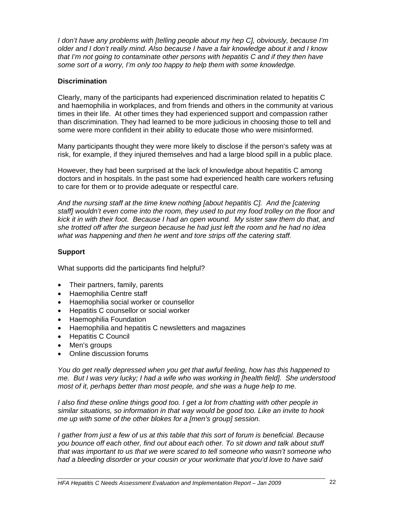*I don't have any problems with [telling people about my hep C], obviously, because I'm older and I don't really mind. Also because I have a fair knowledge about it and I know that I'm not going to contaminate other persons with hepatitis C and if they then have some sort of a worry, I'm only too happy to help them with some knowledge.* 

#### **Discrimination**

Clearly, many of the participants had experienced discrimination related to hepatitis C and haemophilia in workplaces, and from friends and others in the community at various times in their life. At other times they had experienced support and compassion rather than discrimination. They had learned to be more judicious in choosing those to tell and some were more confident in their ability to educate those who were misinformed.

Many participants thought they were more likely to disclose if the person's safety was at risk, for example, if they injured themselves and had a large blood spill in a public place.

However, they had been surprised at the lack of knowledge about hepatitis C among doctors and in hospitals. In the past some had experienced health care workers refusing to care for them or to provide adequate or respectful care.

*And the nursing staff at the time knew nothing [about hepatitis C]. And the [catering staff] wouldn't even come into the room, they used to put my food trolley on the floor and kick it in with their foot. Because I had an open wound. My sister saw them do that, and she trotted off after the surgeon because he had just left the room and he had no idea what was happening and then he went and tore strips off the catering staff.* 

#### **Support**

What supports did the participants find helpful?

- Their partners, family, parents
- Haemophilia Centre staff
- Haemophilia social worker or counsellor
- Hepatitis C counsellor or social worker
- Haemophilia Foundation
- Haemophilia and hepatitis C newsletters and magazines
- Hepatitis C Council
- Men's groups
- Online discussion forums

*You do get really depressed when you get that awful feeling, how has this happened to me. But I was very lucky; I had a wife who was working in [health field]. She understood most of it, perhaps better than most people, and she was a huge help to me.* 

*I also find these online things good too. I get a lot from chatting with other people in similar situations, so information in that way would be good too. Like an invite to hook me up with some of the other blokes for a [men's group] session.* 

*I gather from just a few of us at this table that this sort of forum is beneficial. Because you bounce off each other, find out about each other. To sit down and talk about stuff that was important to us that we were scared to tell someone who wasn't someone who had a bleeding disorder or your cousin or your workmate that you'd love to have said*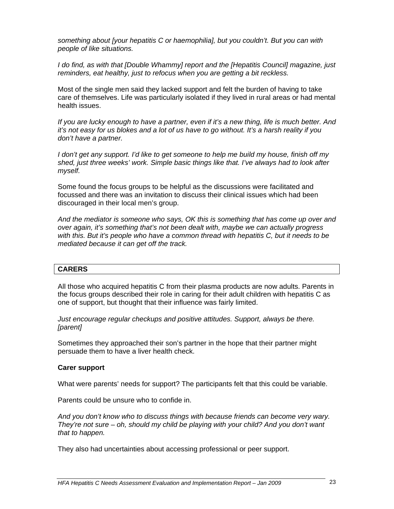*something about [your hepatitis C or haemophilia], but you couldn't. But you can with people of like situations.*

*I do find, as with that [Double Whammy] report and the [Hepatitis Council] magazine, just reminders, eat healthy, just to refocus when you are getting a bit reckless.*

Most of the single men said they lacked support and felt the burden of having to take care of themselves. Life was particularly isolated if they lived in rural areas or had mental health issues.

*If you are lucky enough to have a partner, even if it's a new thing, life is much better. And it's not easy for us blokes and a lot of us have to go without. It's a harsh reality if you don't have a partner.* 

*I don't get any support. I'd like to get someone to help me build my house, finish off my shed, just three weeks' work. Simple basic things like that. I've always had to look after myself.* 

Some found the focus groups to be helpful as the discussions were facilitated and focussed and there was an invitation to discuss their clinical issues which had been discouraged in their local men's group.

*And the mediator is someone who says, OK this is something that has come up over and over again, it's something that's not been dealt with, maybe we can actually progress with this. But it's people who have a common thread with hepatitis C, but it needs to be mediated because it can get off the track.* 

#### **CARERS**

All those who acquired hepatitis C from their plasma products are now adults. Parents in the focus groups described their role in caring for their adult children with hepatitis C as one of support, but thought that their influence was fairly limited.

*Just encourage regular checkups and positive attitudes. Support, always be there. [parent]* 

Sometimes they approached their son's partner in the hope that their partner might persuade them to have a liver health check.

#### **Carer support**

What were parents' needs for support? The participants felt that this could be variable.

Parents could be unsure who to confide in.

*And you don't know who to discuss things with because friends can become very wary. They're not sure – oh, should my child be playing with your child? And you don't want that to happen.* 

They also had uncertainties about accessing professional or peer support.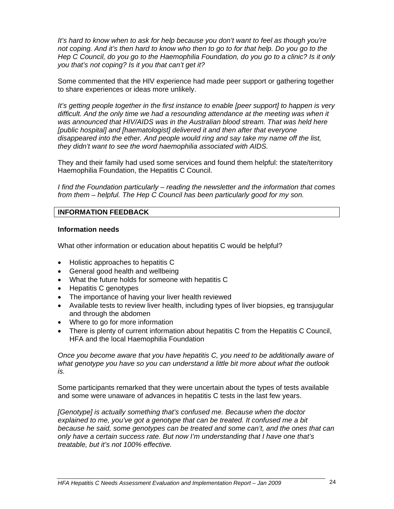*It's hard to know when to ask for help because you don't want to feel as though you're not coping. And it's then hard to know who then to go to for that help. Do you go to the Hep C Council, do you go to the Haemophilia Foundation, do you go to a clinic? Is it only you that's not coping? Is it you that can't get it?*

Some commented that the HIV experience had made peer support or gathering together to share experiences or ideas more unlikely.

*It's getting people together in the first instance to enable [peer support] to happen is very difficult. And the only time we had a resounding attendance at the meeting was when it was announced that HIV/AIDS was in the Australian blood stream. That was held here [public hospital] and [haematologist] delivered it and then after that everyone disappeared into the ether. And people would ring and say take my name off the list, they didn't want to see the word haemophilia associated with AIDS.* 

They and their family had used some services and found them helpful: the state/territory Haemophilia Foundation, the Hepatitis C Council.

*I find the Foundation particularly – reading the newsletter and the information that comes from them – helpful. The Hep C Council has been particularly good for my son.* 

#### **INFORMATION FEEDBACK**

#### **Information needs**

What other information or education about hepatitis C would be helpful?

- Holistic approaches to hepatitis C
- General good health and wellbeing
- What the future holds for someone with hepatitis C
- Hepatitis C genotypes
- The importance of having your liver health reviewed
- Available tests to review liver health, including types of liver biopsies, eg transjugular and through the abdomen
- Where to go for more information
- There is plenty of current information about hepatitis C from the Hepatitis C Council, HFA and the local Haemophilia Foundation

*Once you become aware that you have hepatitis C, you need to be additionally aware of what genotype you have so you can understand a little bit more about what the outlook is.* 

Some participants remarked that they were uncertain about the types of tests available and some were unaware of advances in hepatitis C tests in the last few years.

*[Genotype] is actually something that's confused me. Because when the doctor explained to me, you've got a genotype that can be treated. It confused me a bit because he said, some genotypes can be treated and some can't, and the ones that can only have a certain success rate. But now I'm understanding that I have one that's treatable, but it's not 100% effective.*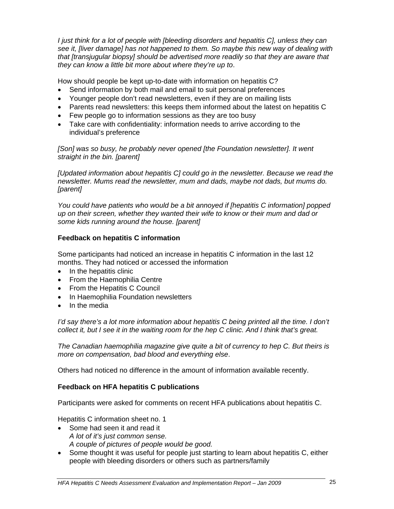*I just think for a lot of people with [bleeding disorders and hepatitis C], unless they can see it, [liver damage] has not happened to them. So maybe this new way of dealing with that [transjugular biopsy] should be advertised more readily so that they are aware that they can know a little bit more about where they're up to*.

How should people be kept up-to-date with information on hepatitis C?

- Send information by both mail and email to suit personal preferences
- Younger people don't read newsletters, even if they are on mailing lists
- Parents read newsletters: this keeps them informed about the latest on hepatitis C
- Few people go to information sessions as they are too busy
- Take care with confidentiality: information needs to arrive according to the individual's preference

*[Son] was so busy, he probably never opened [the Foundation newsletter]. It went straight in the bin. [parent]* 

*[Updated information about hepatitis C] could go in the newsletter. Because we read the newsletter. Mums read the newsletter, mum and dads, maybe not dads, but mums do. [parent]* 

*You could have patients who would be a bit annoyed if [hepatitis C information] popped up on their screen, whether they wanted their wife to know or their mum and dad or some kids running around the house. [parent]* 

#### **Feedback on hepatitis C information**

Some participants had noticed an increase in hepatitis C information in the last 12 months. They had noticed or accessed the information

- In the hepatitis clinic
- From the Haemophilia Centre
- From the Hepatitis C Council
- In Haemophilia Foundation newsletters
- In the media

*I'd say there's a lot more information about hepatitis C being printed all the time. I don't collect it, but I see it in the waiting room for the hep C clinic. And I think that's great.* 

*The Canadian haemophilia magazine give quite a bit of currency to hep C. But theirs is more on compensation, bad blood and everything else*.

Others had noticed no difference in the amount of information available recently.

#### **Feedback on HFA hepatitis C publications**

Participants were asked for comments on recent HFA publications about hepatitis C.

Hepatitis C information sheet no. 1

- Some had seen it and read it *A lot of it's just common sense. A couple of pictures of people would be good.*
- Some thought it was useful for people just starting to learn about hepatitis C, either people with bleeding disorders or others such as partners/family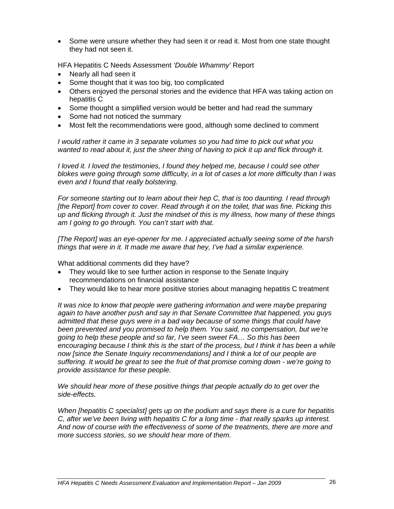• Some were unsure whether they had seen it or read it. Most from one state thought they had not seen it.

HFA Hepatitis C Needs Assessment *'Double Whammy'* Report

- Nearly all had seen it
- Some thought that it was too big, too complicated
- Others enjoyed the personal stories and the evidence that HFA was taking action on hepatitis C
- Some thought a simplified version would be better and had read the summary
- Some had not noticed the summary
- Most felt the recommendations were good, although some declined to comment

*I would rather it came in 3 separate volumes so you had time to pick out what you wanted to read about it, just the sheer thing of having to pick it up and flick through it.*

*I loved it. I loved the testimonies, I found they helped me, because I could see other blokes were going through some difficulty, in a lot of cases a lot more difficulty than I was even and I found that really bolstering.* 

*For someone starting out to learn about their hep C, that is too daunting. I read through [the Report] from cover to cover. Read through it on the toilet, that was fine. Picking this up and flicking through it. Just the mindset of this is my illness, how many of these things am I going to go through. You can't start with that.* 

*[The Report] was an eye-opener for me. I appreciated actually seeing some of the harsh things that were in it. It made me aware that hey, I've had a similar experience.* 

What additional comments did they have?

- They would like to see further action in response to the Senate Inquiry recommendations on financial assistance
- They would like to hear more positive stories about managing hepatitis C treatment

*It was nice to know that people were gathering information and were maybe preparing again to have another push and say in that Senate Committee that happened, you guys admitted that these guys were in a bad way because of some things that could have been prevented and you promised to help them. You said, no compensation, but we're going to help these people and so far, I've seen sweet FA… So this has been encouraging because I think this is the start of the process, but I think it has been a while now [since the Senate Inquiry recommendations] and I think a lot of our people are suffering. It would be great to see the fruit of that promise coming down - we're going to provide assistance for these people.* 

*We should hear more of these positive things that people actually do to get over the side-effects.*

*When [hepatitis C specialist] gets up on the podium and says there is a cure for hepatitis C, after we've been living with hepatitis C for a long time - that really sparks up interest. And now of course with the effectiveness of some of the treatments, there are more and more success stories, so we should hear more of them.*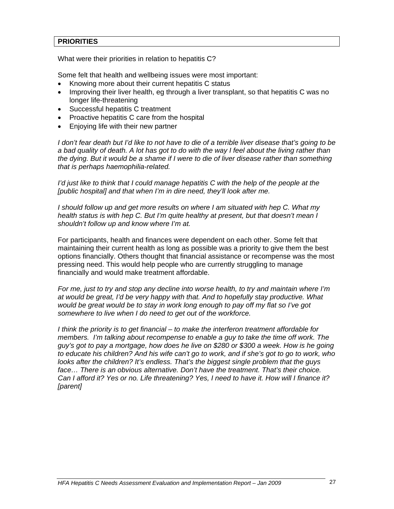#### **PRIORITIES**

What were their priorities in relation to hepatitis C?

Some felt that health and wellbeing issues were most important:

- Knowing more about their current hepatitis C status
- Improving their liver health, eg through a liver transplant, so that hepatitis C was no longer life-threatening
- Successful hepatitis C treatment
- Proactive hepatitis C care from the hospital
- Enjoying life with their new partner

*I don't fear death but I'd like to not have to die of a terrible liver disease that's going to be a bad quality of death. A lot has got to do with the way I feel about the living rather than the dying. But it would be a shame if I were to die of liver disease rather than something that is perhaps haemophilia-related.* 

*I'd just like to think that I could manage hepatitis C with the help of the people at the* [public hospital] and that when I'm in dire need, they'll look after me.

*I should follow up and get more results on where I am situated with hep C. What my health status is with hep C. But I'm quite healthy at present, but that doesn't mean I shouldn't follow up and know where I'm at.* 

For participants, health and finances were dependent on each other. Some felt that maintaining their current health as long as possible was a priority to give them the best options financially. Others thought that financial assistance or recompense was the most pressing need. This would help people who are currently struggling to manage financially and would make treatment affordable.

*For me, just to try and stop any decline into worse health, to try and maintain where I'm at would be great, I'd be very happy with that. And to hopefully stay productive. What would be great would be to stay in work long enough to pay off my flat so I've got somewhere to live when I do need to get out of the workforce.*

*I think the priority is to get financial – to make the interferon treatment affordable for members. I'm talking about recompense to enable a guy to take the time off work. The guy's got to pay a mortgage, how does he live on \$280 or \$300 a week. How is he going to educate his children? And his wife can't go to work, and if she's got to go to work, who looks after the children? It's endless. That's the biggest single problem that the guys face… There is an obvious alternative. Don't have the treatment. That's their choice. Can I afford it? Yes or no. Life threatening? Yes, I need to have it. How will I finance it? [parent]*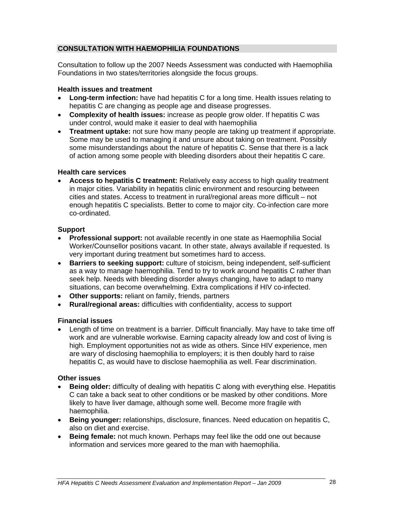#### **CONSULTATION WITH HAEMOPHILIA FOUNDATIONS**

Consultation to follow up the 2007 Needs Assessment was conducted with Haemophilia Foundations in two states/territories alongside the focus groups.

#### **Health issues and treatment**

- **Long-term infection:** have had hepatitis C for a long time. Health issues relating to hepatitis C are changing as people age and disease progresses.
- **Complexity of health issues:** increase as people grow older. If hepatitis C was under control, would make it easier to deal with haemophilia
- **Treatment uptake:** not sure how many people are taking up treatment if appropriate. Some may be used to managing it and unsure about taking on treatment. Possibly some misunderstandings about the nature of hepatitis C. Sense that there is a lack of action among some people with bleeding disorders about their hepatitis C care.

#### **Health care services**

• **Access to hepatitis C treatment:** Relatively easy access to high quality treatment in major cities. Variability in hepatitis clinic environment and resourcing between cities and states. Access to treatment in rural/regional areas more difficult – not enough hepatitis C specialists. Better to come to major city. Co-infection care more co-ordinated.

#### **Support**

- **Professional support:** not available recently in one state as Haemophilia Social Worker/Counsellor positions vacant. In other state, always available if requested. Is very important during treatment but sometimes hard to access.
- **Barriers to seeking support:** culture of stoicism, being independent, self-sufficient as a way to manage haemophilia. Tend to try to work around hepatitis C rather than seek help. Needs with bleeding disorder always changing, have to adapt to many situations, can become overwhelming. Extra complications if HIV co-infected.
- **Other supports:** reliant on family, friends, partners
- **Rural/regional areas:** difficulties with confidentiality, access to support

#### **Financial issues**

• Length of time on treatment is a barrier. Difficult financially. May have to take time off work and are vulnerable workwise. Earning capacity already low and cost of living is high. Employment opportunities not as wide as others. Since HIV experience, men are wary of disclosing haemophilia to employers; it is then doubly hard to raise hepatitis C, as would have to disclose haemophilia as well. Fear discrimination.

#### **Other issues**

- **Being older:** difficulty of dealing with hepatitis C along with everything else. Hepatitis C can take a back seat to other conditions or be masked by other conditions. More likely to have liver damage, although some well. Become more fragile with haemophilia.
- **Being younger:** relationships, disclosure, finances. Need education on hepatitis C, also on diet and exercise.
- **Being female:** not much known. Perhaps may feel like the odd one out because information and services more geared to the man with haemophilia.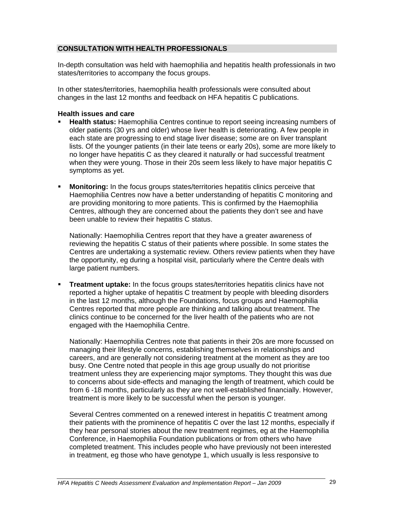#### **CONSULTATION WITH HEALTH PROFESSIONALS**

In-depth consultation was held with haemophilia and hepatitis health professionals in two states/territories to accompany the focus groups.

In other states/territories, haemophilia health professionals were consulted about changes in the last 12 months and feedback on HFA hepatitis C publications.

#### **Health issues and care**

- **Health status:** Haemophilia Centres continue to report seeing increasing numbers of older patients (30 yrs and older) whose liver health is deteriorating. A few people in each state are progressing to end stage liver disease; some are on liver transplant lists. Of the younger patients (in their late teens or early 20s), some are more likely to no longer have hepatitis C as they cleared it naturally or had successful treatment when they were young. Those in their 20s seem less likely to have major hepatitis C symptoms as yet.
- **Monitoring:** In the focus groups states/territories hepatitis clinics perceive that Haemophilia Centres now have a better understanding of hepatitis C monitoring and are providing monitoring to more patients. This is confirmed by the Haemophilia Centres, although they are concerned about the patients they don't see and have been unable to review their hepatitis C status.

Nationally: Haemophilia Centres report that they have a greater awareness of reviewing the hepatitis C status of their patients where possible. In some states the Centres are undertaking a systematic review. Others review patients when they have the opportunity, eg during a hospital visit, particularly where the Centre deals with large patient numbers.

 **Treatment uptake:** In the focus groups states/territories hepatitis clinics have not reported a higher uptake of hepatitis C treatment by people with bleeding disorders in the last 12 months, although the Foundations, focus groups and Haemophilia Centres reported that more people are thinking and talking about treatment. The clinics continue to be concerned for the liver health of the patients who are not engaged with the Haemophilia Centre.

Nationally: Haemophilia Centres note that patients in their 20s are more focussed on managing their lifestyle concerns, establishing themselves in relationships and careers, and are generally not considering treatment at the moment as they are too busy. One Centre noted that people in this age group usually do not prioritise treatment unless they are experiencing major symptoms. They thought this was due to concerns about side-effects and managing the length of treatment, which could be from 6 -18 months, particularly as they are not well-established financially. However, treatment is more likely to be successful when the person is younger.

Several Centres commented on a renewed interest in hepatitis C treatment among their patients with the prominence of hepatitis C over the last 12 months, especially if they hear personal stories about the new treatment regimes, eg at the Haemophilia Conference, in Haemophilia Foundation publications or from others who have completed treatment. This includes people who have previously not been interested in treatment, eg those who have genotype 1, which usually is less responsive to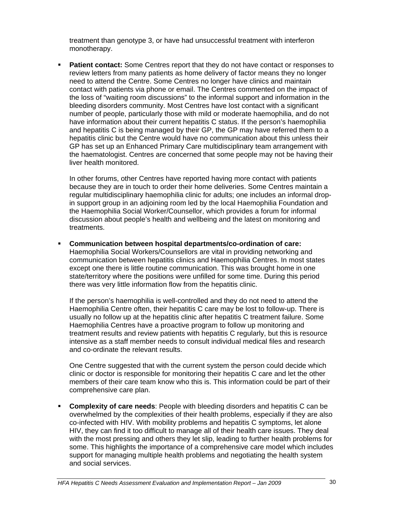treatment than genotype 3, or have had unsuccessful treatment with interferon monotherapy.

**Patient contact:** Some Centres report that they do not have contact or responses to review letters from many patients as home delivery of factor means they no longer need to attend the Centre. Some Centres no longer have clinics and maintain contact with patients via phone or email. The Centres commented on the impact of the loss of "waiting room discussions" to the informal support and information in the bleeding disorders community. Most Centres have lost contact with a significant number of people, particularly those with mild or moderate haemophilia, and do not have information about their current hepatitis C status. If the person's haemophilia and hepatitis C is being managed by their GP, the GP may have referred them to a hepatitis clinic but the Centre would have no communication about this unless their GP has set up an Enhanced Primary Care multidisciplinary team arrangement with the haematologist. Centres are concerned that some people may not be having their liver health monitored.

In other forums, other Centres have reported having more contact with patients because they are in touch to order their home deliveries. Some Centres maintain a regular multidisciplinary haemophilia clinic for adults; one includes an informal dropin support group in an adjoining room led by the local Haemophilia Foundation and the Haemophilia Social Worker/Counsellor, which provides a forum for informal discussion about people's health and wellbeing and the latest on monitoring and treatments.

 **Communication between hospital departments/co-ordination of care:** Haemophilia Social Workers/Counsellors are vital in providing networking and communication between hepatitis clinics and Haemophilia Centres. In most states except one there is little routine communication. This was brought home in one state/territory where the positions were unfilled for some time. During this period there was very little information flow from the hepatitis clinic.

If the person's haemophilia is well-controlled and they do not need to attend the Haemophilia Centre often, their hepatitis C care may be lost to follow-up. There is usually no follow up at the hepatitis clinic after hepatitis C treatment failure. Some Haemophilia Centres have a proactive program to follow up monitoring and treatment results and review patients with hepatitis C regularly, but this is resource intensive as a staff member needs to consult individual medical files and research and co-ordinate the relevant results.

One Centre suggested that with the current system the person could decide which clinic or doctor is responsible for monitoring their hepatitis C care and let the other members of their care team know who this is. This information could be part of their comprehensive care plan.

 **Complexity of care needs**: People with bleeding disorders and hepatitis C can be overwhelmed by the complexities of their health problems, especially if they are also co-infected with HIV. With mobility problems and hepatitis C symptoms, let alone HIV, they can find it too difficult to manage all of their health care issues. They deal with the most pressing and others they let slip, leading to further health problems for some. This highlights the importance of a comprehensive care model which includes support for managing multiple health problems and negotiating the health system and social services.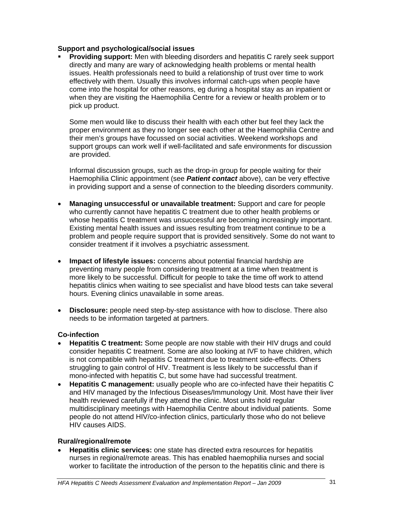#### **Support and psychological/social issues**

**Providing support:** Men with bleeding disorders and hepatitis C rarely seek support directly and many are wary of acknowledging health problems or mental health issues. Health professionals need to build a relationship of trust over time to work effectively with them. Usually this involves informal catch-ups when people have come into the hospital for other reasons, eg during a hospital stay as an inpatient or when they are visiting the Haemophilia Centre for a review or health problem or to pick up product.

Some men would like to discuss their health with each other but feel they lack the proper environment as they no longer see each other at the Haemophilia Centre and their men's groups have focussed on social activities. Weekend workshops and support groups can work well if well-facilitated and safe environments for discussion are provided.

Informal discussion groups, such as the drop-in group for people waiting for their Haemophilia Clinic appointment (see *Patient contact* above), can be very effective in providing support and a sense of connection to the bleeding disorders community.

- **Managing unsuccessful or unavailable treatment:** Support and care for people who currently cannot have hepatitis C treatment due to other health problems or whose hepatitis C treatment was unsuccessful are becoming increasingly important. Existing mental health issues and issues resulting from treatment continue to be a problem and people require support that is provided sensitively. Some do not want to consider treatment if it involves a psychiatric assessment.
- **Impact of lifestyle issues:** concerns about potential financial hardship are preventing many people from considering treatment at a time when treatment is more likely to be successful. Difficult for people to take the time off work to attend hepatitis clinics when waiting to see specialist and have blood tests can take several hours. Evening clinics unavailable in some areas.
- **Disclosure:** people need step-by-step assistance with how to disclose. There also needs to be information targeted at partners.

#### **Co-infection**

- **Hepatitis C treatment:** Some people are now stable with their HIV drugs and could consider hepatitis C treatment. Some are also looking at IVF to have children, which is not compatible with hepatitis C treatment due to treatment side-effects. Others struggling to gain control of HIV. Treatment is less likely to be successful than if mono-infected with hepatitis C, but some have had successful treatment.
- **Hepatitis C management:** usually people who are co-infected have their hepatitis C and HIV managed by the Infectious Diseases/Immunology Unit. Most have their liver health reviewed carefully if they attend the clinic. Most units hold regular multidisciplinary meetings with Haemophilia Centre about individual patients. Some people do not attend HIV/co-infection clinics, particularly those who do not believe HIV causes AIDS.

#### **Rural/regional/remote**

• **Hepatitis clinic services:** one state has directed extra resources for hepatitis nurses in regional/remote areas. This has enabled haemophilia nurses and social worker to facilitate the introduction of the person to the hepatitis clinic and there is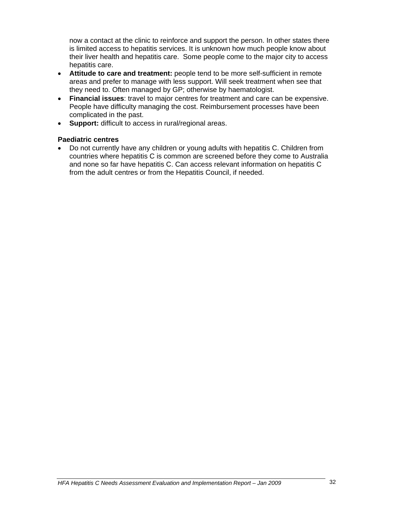now a contact at the clinic to reinforce and support the person. In other states there is limited access to hepatitis services. It is unknown how much people know about their liver health and hepatitis care. Some people come to the major city to access hepatitis care.

- **Attitude to care and treatment:** people tend to be more self-sufficient in remote areas and prefer to manage with less support. Will seek treatment when see that they need to. Often managed by GP; otherwise by haematologist.
- **Financial issues**: travel to major centres for treatment and care can be expensive. People have difficulty managing the cost. Reimbursement processes have been complicated in the past.
- **Support:** difficult to access in rural/regional areas.

#### **Paediatric centres**

• Do not currently have any children or young adults with hepatitis C. Children from countries where hepatitis C is common are screened before they come to Australia and none so far have hepatitis C. Can access relevant information on hepatitis C from the adult centres or from the Hepatitis Council, if needed.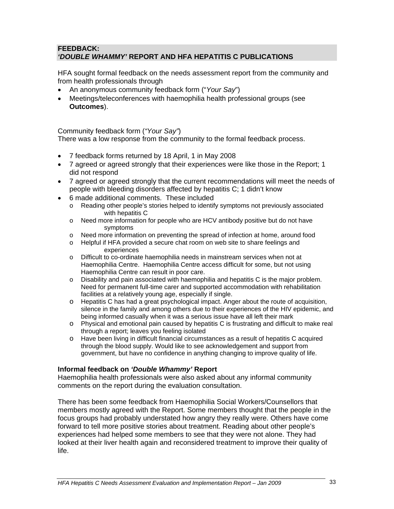#### **FEEDBACK:**  *'DOUBLE WHAMMY'* **REPORT AND HFA HEPATITIS C PUBLICATIONS**

HFA sought formal feedback on the needs assessment report from the community and from health professionals through

- An anonymous community feedback form ("*Your Say*")
- Meetings/teleconferences with haemophilia health professional groups (see **Outcomes**).

Community feedback form (*"Your Say"*)

There was a low response from the community to the formal feedback process.

- 7 feedback forms returned by 18 April, 1 in May 2008
- 7 agreed or agreed strongly that their experiences were like those in the Report; 1 did not respond
- 7 agreed or agreed strongly that the current recommendations will meet the needs of people with bleeding disorders affected by hepatitis C; 1 didn't know
- 6 made additional comments. These included
	- o Reading other people's stories helped to identify symptoms not previously associated with hepatitis C
	- o Need more information for people who are HCV antibody positive but do not have symptoms
	- o Need more information on preventing the spread of infection at home, around food
	- o Helpful if HFA provided a secure chat room on web site to share feelings and experiences
	- o Difficult to co-ordinate haemophilia needs in mainstream services when not at Haemophilia Centre. Haemophilia Centre access difficult for some, but not using Haemophilia Centre can result in poor care.
	- o Disability and pain associated with haemophilia and hepatitis C is the major problem. Need for permanent full-time carer and supported accommodation with rehabilitation facilities at a relatively young age, especially if single.
	- o Hepatitis C has had a great psychological impact. Anger about the route of acquisition, silence in the family and among others due to their experiences of the HIV epidemic, and being informed casually when it was a serious issue have all left their mark
	- o Physical and emotional pain caused by hepatitis C is frustrating and difficult to make real through a report; leaves you feeling isolated
	- o Have been living in difficult financial circumstances as a result of hepatitis C acquired through the blood supply. Would like to see acknowledgement and support from government, but have no confidence in anything changing to improve quality of life.

#### **Informal feedback on** *'Double Whammy'* **Report**

Haemophilia health professionals were also asked about any informal community comments on the report during the evaluation consultation.

There has been some feedback from Haemophilia Social Workers/Counsellors that members mostly agreed with the Report. Some members thought that the people in the focus groups had probably understated how angry they really were. Others have come forward to tell more positive stories about treatment. Reading about other people's experiences had helped some members to see that they were not alone. They had looked at their liver health again and reconsidered treatment to improve their quality of life.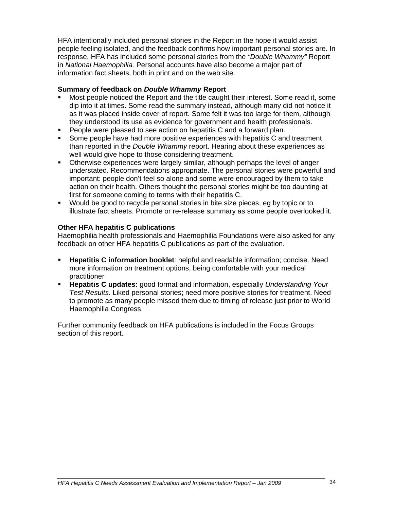HFA intentionally included personal stories in the Report in the hope it would assist people feeling isolated, and the feedback confirms how important personal stories are. In response, HFA has included some personal stories from the *"Double Whammy"* Report in *National Haemophilia.* Personal accounts have also become a major part of information fact sheets, both in print and on the web site.

#### **Summary of feedback on** *Double Whammy* **Report**

- Most people noticed the Report and the title caught their interest. Some read it, some dip into it at times. Some read the summary instead, although many did not notice it as it was placed inside cover of report. Some felt it was too large for them, although they understood its use as evidence for government and health professionals.
- **People were pleased to see action on hepatitis C and a forward plan.**
- **Some people have had more positive experiences with hepatitis C and treatment** than reported in the *Double Whammy* report. Hearing about these experiences as well would give hope to those considering treatment.
- Otherwise experiences were largely similar, although perhaps the level of anger understated. Recommendations appropriate. The personal stories were powerful and important: people don't feel so alone and some were encouraged by them to take action on their health. Others thought the personal stories might be too daunting at first for someone coming to terms with their hepatitis C.
- Would be good to recycle personal stories in bite size pieces, eg by topic or to illustrate fact sheets. Promote or re-release summary as some people overlooked it.

#### **Other HFA hepatitis C publications**

Haemophilia health professionals and Haemophilia Foundations were also asked for any feedback on other HFA hepatitis C publications as part of the evaluation.

- **Hepatitis C information booklet**: helpful and readable information; concise. Need more information on treatment options, being comfortable with your medical practitioner
- **Hepatitis C updates:** good format and information, especially *Understanding Your Test Results*. Liked personal stories; need more positive stories for treatment. Need to promote as many people missed them due to timing of release just prior to World Haemophilia Congress.

Further community feedback on HFA publications is included in the Focus Groups section of this report.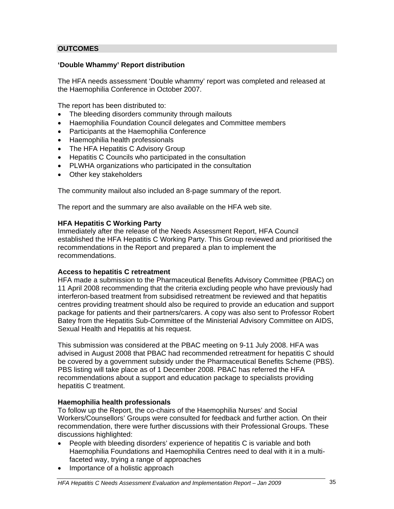#### **OUTCOMES**

#### **'Double Whammy' Report distribution**

The HFA needs assessment 'Double whammy' report was completed and released at the Haemophilia Conference in October 2007.

The report has been distributed to:

- The bleeding disorders community through mailouts
- Haemophilia Foundation Council delegates and Committee members
- Participants at the Haemophilia Conference
- Haemophilia health professionals
- The HFA Hepatitis C Advisory Group
- Hepatitis C Councils who participated in the consultation
- PLWHA organizations who participated in the consultation
- Other key stakeholders

The community mailout also included an 8-page summary of the report.

The report and the summary are also available on the HFA web site.

#### **HFA Hepatitis C Working Party**

Immediately after the release of the Needs Assessment Report, HFA Council established the HFA Hepatitis C Working Party. This Group reviewed and prioritised the recommendations in the Report and prepared a plan to implement the recommendations.

#### **Access to hepatitis C retreatment**

HFA made a submission to the Pharmaceutical Benefits Advisory Committee (PBAC) on 11 April 2008 recommending that the criteria excluding people who have previously had interferon-based treatment from subsidised retreatment be reviewed and that hepatitis centres providing treatment should also be required to provide an education and support package for patients and their partners/carers. A copy was also sent to Professor Robert Batey from the Hepatitis Sub-Committee of the Ministerial Advisory Committee on AIDS, Sexual Health and Hepatitis at his request.

This submission was considered at the PBAC meeting on 9-11 July 2008. HFA was advised in August 2008 that PBAC had recommended retreatment for hepatitis C should be covered by a government subsidy under the Pharmaceutical Benefits Scheme (PBS). PBS listing will take place as of 1 December 2008. PBAC has referred the HFA recommendations about a support and education package to specialists providing hepatitis C treatment.

#### **Haemophilia health professionals**

To follow up the Report, the co-chairs of the Haemophilia Nurses' and Social Workers/Counsellors' Groups were consulted for feedback and further action. On their recommendation, there were further discussions with their Professional Groups. These discussions highlighted:

- People with bleeding disorders' experience of hepatitis C is variable and both Haemophilia Foundations and Haemophilia Centres need to deal with it in a multifaceted way, trying a range of approaches
- Importance of a holistic approach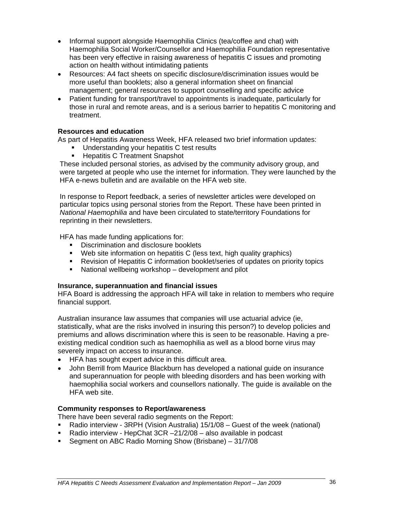- Informal support alongside Haemophilia Clinics (tea/coffee and chat) with Haemophilia Social Worker/Counsellor and Haemophilia Foundation representative has been very effective in raising awareness of hepatitis C issues and promoting action on health without intimidating patients
- Resources: A4 fact sheets on specific disclosure/discrimination issues would be more useful than booklets; also a general information sheet on financial management; general resources to support counselling and specific advice
- Patient funding for transport/travel to appointments is inadequate, particularly for those in rural and remote areas, and is a serious barrier to hepatitis C monitoring and treatment.

#### **Resources and education**

As part of Hepatitis Awareness Week, HFA released two brief information updates:

- Understanding your hepatitis C test results<br>■ Hepatitis C Treatment Snapshot
- Hepatitis C Treatment Snapshot

These included personal stories, as advised by the community advisory group, and were targeted at people who use the internet for information. They were launched by the HFA e-news bulletin and are available on the HFA web site.

In response to Report feedback, a series of newsletter articles were developed on particular topics using personal stories from the Report. These have been printed in *National Haemophilia* and have been circulated to state/territory Foundations for reprinting in their newsletters.

HFA has made funding applications for:

- **Discrimination and disclosure booklets**
- Web site information on hepatitis C (less text, high quality graphics)
- **Revision of Hepatitis C information booklet/series of updates on priority topics**
- National wellbeing workshop development and pilot

#### **Insurance, superannuation and financial issues**

HFA Board is addressing the approach HFA will take in relation to members who require financial support.

Australian insurance law assumes that companies will use actuarial advice (ie, statistically, what are the risks involved in insuring this person?) to develop policies and premiums and allows discrimination where this is seen to be reasonable. Having a preexisting medical condition such as haemophilia as well as a blood borne virus may severely impact on access to insurance.

- HFA has sought expert advice in this difficult area.
- John Berrill from Maurice Blackburn has developed a national guide on insurance and superannuation for people with bleeding disorders and has been working with haemophilia social workers and counsellors nationally. The guide is available on the HFA web site.

#### **Community responses to Report/awareness**

There have been several radio segments on the Report:

- Radio interview 3RPH (Vision Australia) 15/1/08 Guest of the week (national)
- Radio interview HepChat 3CR -21/2/08 also available in podcast
- Segment on ABC Radio Morning Show (Brisbane) 31/7/08